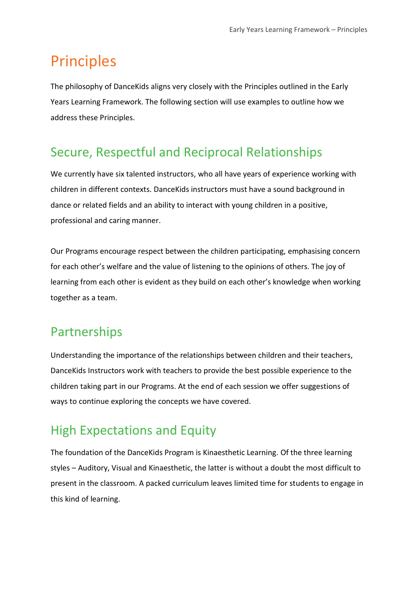# Principles

The philosophy of DanceKids aligns very closely with the Principles outlined in the Early Years Learning Framework. The following section will use examples to outline how we address these Principles.

## Secure, Respectful and Reciprocal Relationships

We currently have six talented instructors, who all have years of experience working with children in different contexts. DanceKids instructors must have a sound background in dance or related fields and an ability to interact with young children in a positive, professional and caring manner.

Our Programs encourage respect between the children participating, emphasising concern for each other's welfare and the value of listening to the opinions of others. The joy of learning from each other is evident as they build on each other's knowledge when working together as a team.

## Partnerships

Understanding the importance of the relationships between children and their teachers, DanceKids Instructors work with teachers to provide the best possible experience to the children taking part in our Programs. At the end of each session we offer suggestions of ways to continue exploring the concepts we have covered.

## High Expectations and Equity

The foundation of the DanceKids Program is Kinaesthetic Learning. Of the three learning styles – Auditory, Visual and Kinaesthetic, the latter is without a doubt the most difficult to present in the classroom. A packed curriculum leaves limited time for students to engage in this kind of learning.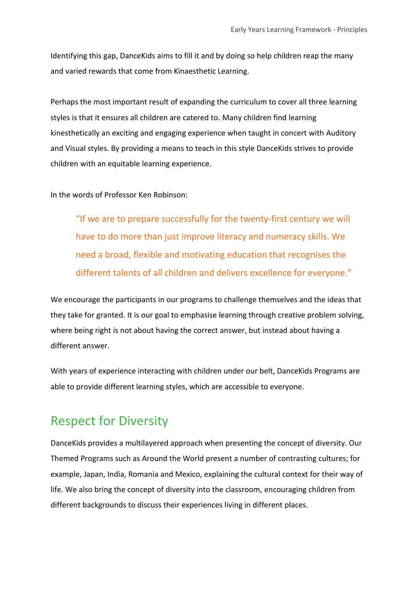Identifying this gap, DanceKids aims to fill it and by doing so help children reap the many and varied rewards that come from Kinaesthetic Learning.

Perhaps the most important result of expanding the curriculum to cover all three learning styles is that it ensures all children are catered to. Many children find learning kinesthetically an exciting and engaging experience when taught in concert with Auditory and Visual styles. By providing a means to teach in this style DanceKids strives to provide children with an equitable learning experience.

In the words of Professor Ken Robinson:

"If we are to prepare successfully for the twenty-first century we will have to do more than just improve literacy and numeracy skills. We need a broad, flexible and motivating education that recognises the different talents of all children and delivers excellence for everyone."

We encourage the participants in our programs to challenge themselves and the ideas that they take for granted. It is our goal to emphasise learning through creative problem solving, where being right is not about having the correct answer, but instead about having a different answer.

With years of experience interacting with children under our belt, DanceKids Programs are able to provide different learning styles, which are accessible to everyone.

### Respect for Diversity

DanceKids provides a multilayered approach when presenting the concept of diversity. Our Themed Programs such as Around the World present a number of contrasting cultures; for example, Japan, India, Romania and Mexico, explaining the cultural context for their way of life. We also bring the concept of diversity into the classroom, encouraging children from different backgrounds to discuss their experiences living in different places.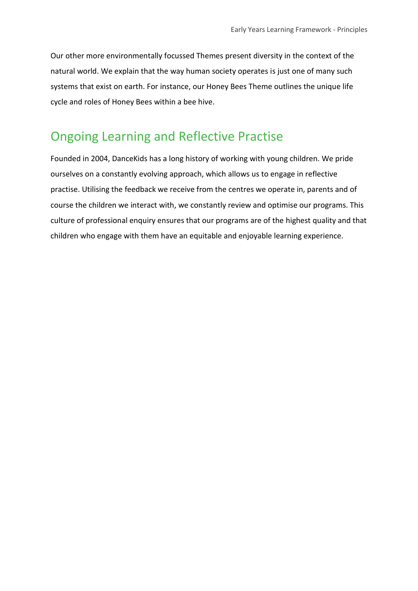Our other more environmentally focussed Themes present diversity in the context of the natural world. We explain that the way human society operates is just one of many such systems that exist on earth. For instance, our Honey Bees Theme outlines the unique life cycle and roles of Honey Bees within a bee hive.

### Ongoing Learning and Reflective Practise

Founded in 2004, DanceKids has a long history of working with young children. We pride ourselves on a constantly evolving approach, which allows us to engage in reflective practise. Utilising the feedback we receive from the centres we operate in, parents and of course the children we interact with, we constantly review and optimise our programs. This culture of professional enquiry ensures that our programs are of the highest quality and that children who engage with them have an equitable and enjoyable learning experience.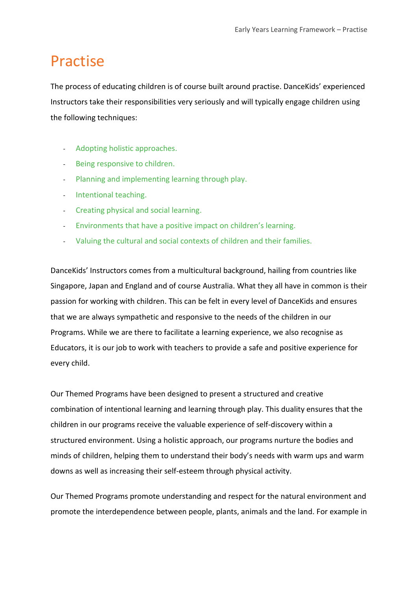# Practise

The process of educating children is of course built around practise. DanceKids' experienced Instructors take their responsibilities very seriously and will typically engage children using the following techniques:

- Adopting holistic approaches.
- Being responsive to children.
- Planning and implementing learning through play.
- Intentional teaching.
- Creating physical and social learning.
- Environments that have a positive impact on children's learning.
- Valuing the cultural and social contexts of children and their families.

DanceKids' Instructors comes from a multicultural background, hailing from countries like Singapore, Japan and England and of course Australia. What they all have in common is their passion for working with children. This can be felt in every level of DanceKids and ensures that we are always sympathetic and responsive to the needs of the children in our Programs. While we are there to facilitate a learning experience, we also recognise as Educators, it is our job to work with teachers to provide a safe and positive experience for every child.

Our Themed Programs have been designed to present a structured and creative combination of intentional learning and learning through play. This duality ensures that the children in our programs receive the valuable experience of self-discovery within a structured environment. Using a holistic approach, our programs nurture the bodies and minds of children, helping them to understand their body's needs with warm ups and warm downs as well as increasing their self-esteem through physical activity.

Our Themed Programs promote understanding and respect for the natural environment and promote the interdependence between people, plants, animals and the land. For example in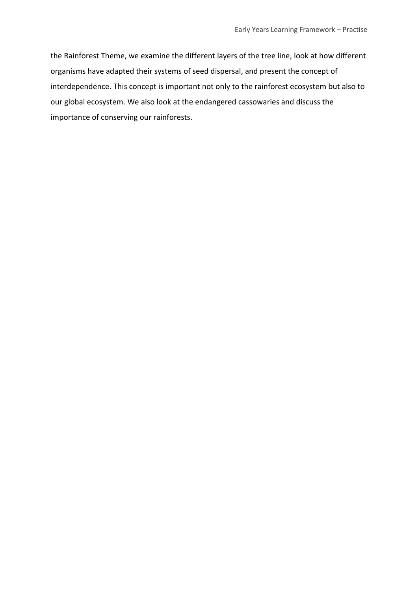the Rainforest Theme, we examine the different layers of the tree line, look at how different organisms have adapted their systems of seed dispersal, and present the concept of interdependence. This concept is important not only to the rainforest ecosystem but also to our global ecosystem. We also look at the endangered cassowaries and discuss the importance of conserving our rainforests.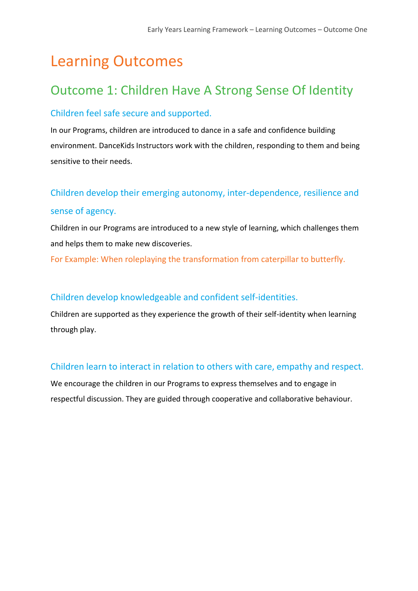# Learning Outcomes

### Outcome 1: Children Have A Strong Sense Of Identity

### Children feel safe secure and supported.

In our Programs, children are introduced to dance in a safe and confidence building environment. DanceKids Instructors work with the children, responding to them and being sensitive to their needs.

### Children develop their emerging autonomy, inter-dependence, resilience and sense of agency.

Children in our Programs are introduced to a new style of learning, which challenges them and helps them to make new discoveries.

For Example: When roleplaying the transformation from caterpillar to butterfly.

### Children develop knowledgeable and confident self-identities.

Children are supported as they experience the growth of their self-identity when learning through play.

### Children learn to interact in relation to others with care, empathy and respect.

We encourage the children in our Programs to express themselves and to engage in respectful discussion. They are guided through cooperative and collaborative behaviour.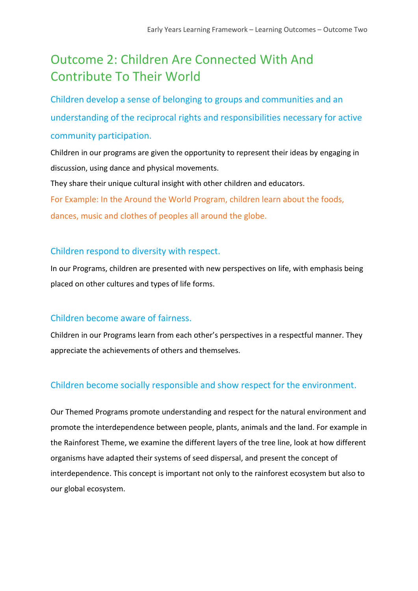# Outcome 2: Children Are Connected With And Contribute To Their World

Children develop a sense of belonging to groups and communities and an understanding of the reciprocal rights and responsibilities necessary for active community participation.

Children in our programs are given the opportunity to represent their ideas by engaging in discussion, using dance and physical movements.

They share their unique cultural insight with other children and educators. For Example: In the Around the World Program, children learn about the foods,

dances, music and clothes of peoples all around the globe.

### Children respond to diversity with respect.

In our Programs, children are presented with new perspectives on life, with emphasis being placed on other cultures and types of life forms.

### Children become aware of fairness.

Children in our Programs learn from each other's perspectives in a respectful manner. They appreciate the achievements of others and themselves.

### Children become socially responsible and show respect for the environment.

Our Themed Programs promote understanding and respect for the natural environment and promote the interdependence between people, plants, animals and the land. For example in the Rainforest Theme, we examine the different layers of the tree line, look at how different organisms have adapted their systems of seed dispersal, and present the concept of interdependence. This concept is important not only to the rainforest ecosystem but also to our global ecosystem.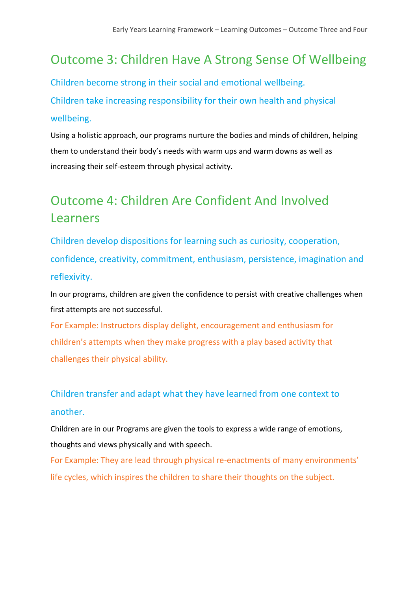## Outcome 3: Children Have A Strong Sense Of Wellbeing

Children become strong in their social and emotional wellbeing. Children take increasing responsibility for their own health and physical wellbeing.

Using a holistic approach, our programs nurture the bodies and minds of children, helping them to understand their body's needs with warm ups and warm downs as well as increasing their self-esteem through physical activity.

# Outcome 4: Children Are Confident And Involved Learners

Children develop dispositions for learning such as curiosity, cooperation, confidence, creativity, commitment, enthusiasm, persistence, imagination and reflexivity.

In our programs, children are given the confidence to persist with creative challenges when first attempts are not successful.

For Example: Instructors display delight, encouragement and enthusiasm for children's attempts when they make progress with a play based activity that challenges their physical ability.

### Children transfer and adapt what they have learned from one context to another.

Children are in our Programs are given the tools to express a wide range of emotions, thoughts and views physically and with speech.

For Example: They are lead through physical re-enactments of many environments' life cycles, which inspires the children to share their thoughts on the subject.